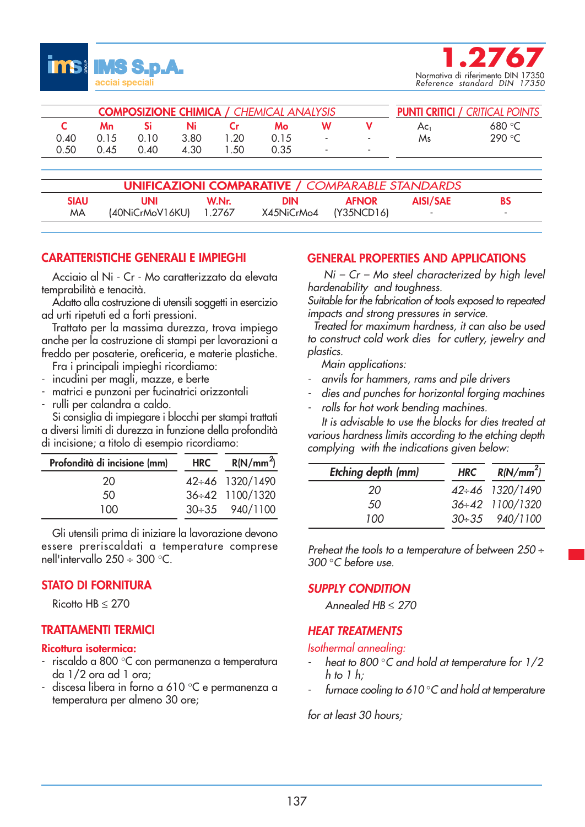



| <b>COMPOSIZIONE CHIMICA / CHEMICAL ANALYSIS</b> |      |        |      |      |      |   | <b>PUNTI CRITICI / CRITICAL POINTS</b> |                 |          |
|-------------------------------------------------|------|--------|------|------|------|---|----------------------------------------|-----------------|----------|
|                                                 | Mn   |        | Ni   |      | Mo   |   |                                        | Ac <sub>1</sub> | 680 $°C$ |
| 0.40                                            | 0.15 | 0. I O | 3.80 | 1.20 | 0.15 | ٠ | $\sim$                                 | Ms              | 290 °C   |
| 0.50                                            | 0.45 | 0.40   | 4.30 | I 50 | 0.35 | ۰ | . .                                    |                 |          |

| <b>UNIFICAZIONI COMPARATIVE / COMPARABLE STANDARDS</b> |                        |       |                       |              |          |    |  |
|--------------------------------------------------------|------------------------|-------|-----------------------|--------------|----------|----|--|
| <b>SIAU</b>                                            | UNI                    | W.Nr. | <b>DIN</b>            | <b>AFNOR</b> | AISI/SAE | BS |  |
| MA                                                     | (40NiCrMoV16KU) 1.2767 |       | X45NiCrMo4 (Y35NCD16) |              | ۰        |    |  |

# **CARATTERISTICHE GENERALI E IMPIEGHI**

Acciaio al Ni - Cr - Mo caratterizzato da elevata temprabilità e tenacità.

Adatto alla costruzione di utensili soggetti in esercizio ad urti ripetuti ed a forti pressioni.

Trattato per la massima durezza, trova impiego anche per la costruzione di stampi per lavorazioni a freddo per posaterie, oreficeria, e materie plastiche.

Fra i principali impieghi ricordiamo:

- incudini per magli, mazze, e berte
- matrici e punzoni per fucinatrici orizzontali
- rulli per calandra a caldo.

Si consiglia di impiegare i blocchi per stampi trattati a diversi limiti di durezza in funzione della profondità di incisione; a titolo di esempio ricordiamo:

| Profondità di incisione (mm) | <b>HRC</b> | R(N/mm <sup>2</sup> ) |
|------------------------------|------------|-----------------------|
| 20                           |            | 42÷46 1320/1490       |
| 50                           |            | 36÷42 1100/1320       |
| 100                          |            | 30÷35 940/1100        |

Gli utensili prima di iniziare la lavorazione devono essere preriscaldati a temperature comprese nell'intervallo 250 ÷ 300 °C.

## **STATO DI FORNITURA**

Ricotto HB ≤ 270

# **TRATTAMENTI TERMICI**

## **Ricottura isotermica:**

- riscaldo a 800 °C con permanenza a temperatura da 1/2 ora ad 1 ora;
- discesa libera in forno a 610 °C e permanenza a temperatura per almeno 30 ore;

## **GENERAL PROPERTIES AND APPLICATIONS**

Ni – Cr – Mo steel characterized by high level hardenability and toughness.

Suitable for the fabrication of tools exposed to repeated impacts and strong pressures in service.

Treated for maximum hardness, it can also be used to construct cold work dies for cutlery, jewelry and plastics.

Main applications:

- anvils for hammers, rams and pile drivers
- dies and punches for horizontal forging machines
- rolls for hot work bending machines.

It is advisable to use the blocks for dies treated at various hardness limits according to the etching depth complying with the indications given below:

| Etching depth (mm) | <b>HRC</b> | R(N/mm <sup>2</sup> ) |
|--------------------|------------|-----------------------|
| 20                 |            | 42÷46 1320/1490       |
| 50.                |            | 36÷42 1100/1320       |
| 100                |            | 30÷35 940/1100        |

Preheat the tools to a temperature of between 250  $\div$ 300 °C before use.

## *SUPPLY CONDITION*

Annealed HB ≤ 270

# *HEAT TREATMENTS*

Isothermal annealing:

- heat to 800 $^{\circ}$ C and hold at temperature for  $1/2$ h to 1 h;
- furnace cooling to 610 $\degree$ C and hold at temperature

for at least 30 hours;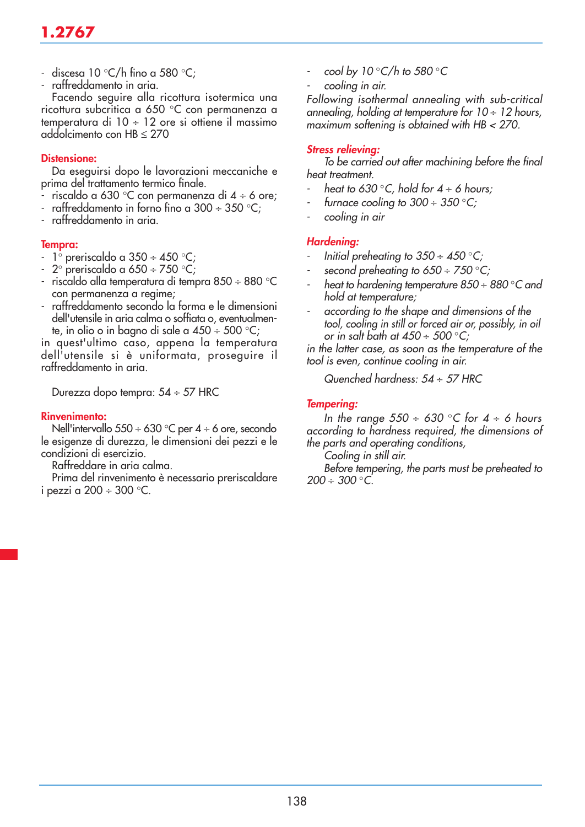# **1.2767**

- discesa 10 °C/h fino a 580 °C;
- raffreddamento in aria.

Facendo seguire alla ricottura isotermica una ricottura subcritica a 650 °C con permanenza a temperatura di  $10 \div 12$  ore si ottiene il massimo addolcimento con HB ≤ 270

## **Distensione:**

Da eseguirsi dopo le lavorazioni meccaniche e prima del trattamento termico finale.

- riscaldo a 630 °C con permanenza di 4 ÷ 6 ore;
- raffreddamento in forno fino a  $300 \div 350$  °C;
- raffreddamento in aria.

#### **Tempra:**

- 1<sup>°</sup> preriscaldo a 350 ÷ 450 °C;
- $2^\circ$  preriscaldo a 650 ÷ 750 °C;
- riscaldo alla temperatura di tempra 850 ÷ 880 °C con permanenza a regime;
- raffreddamento secondo la forma e le dimensioni dell'utensile in aria calma o soffiata o, eventualmente, in olio o in bagno di sale a 450 ÷ 500 °C;

in quest'ultimo caso, appena la temperatura dell'utensile si è uniformata, proseguire il raffreddamento in aria.

Durezza dopo tempra: 54 ÷ 57 HRC

#### **Rinvenimento:**

Nell'intervallo 550 ÷ 630 °C per 4 ÷ 6 ore, secondo le esigenze di durezza, le dimensioni dei pezzi e le condizioni di esercizio.

Raffreddare in aria calma.

Prima del rinvenimento è necessario preriscaldare i pezzi a 200  $\div$  300  $\degree$ C.

- cool by 10 $\degree$ C/h to 580 $\degree$ C
- cooling in air.

Following isothermal annealing with sub-critical annealing, holding at temperature for  $10 \div 12$  hours, maximum softening is obtained with HB < 270.

## *Stress relieving:*

To be carried out after machining before the final heat treatment.

- heat to 630 °C, hold for  $4 \div 6$  hours;
- furnace cooling to  $300 \div 350$  °C;
- cooling in air

## *Hardening:*

- Initial preheating to  $350 \div 450^{\circ}$ C;
- second preheating to  $650 \div 750$  °C;
- heat to hardening temperature  $850 \div 880$  °C and hold at temperature;
- according to the shape and dimensions of the tool, cooling in still or forced air or, possibly, in oil or in salt bath at  $450 \div 500^{\circ}$ C;

in the latter case, as soon as the temperature of the tool is even, continue cooling in air.

Quenched hardness: 54 ÷ 57 HRC

#### *Tempering:*

In the range  $550 \div 630$  °C for  $4 \div 6$  hours according to hardness required, the dimensions of the parts and operating conditions,

Cooling in still air.

Before tempering, the parts must be preheated to  $200 \div 300$  °C.